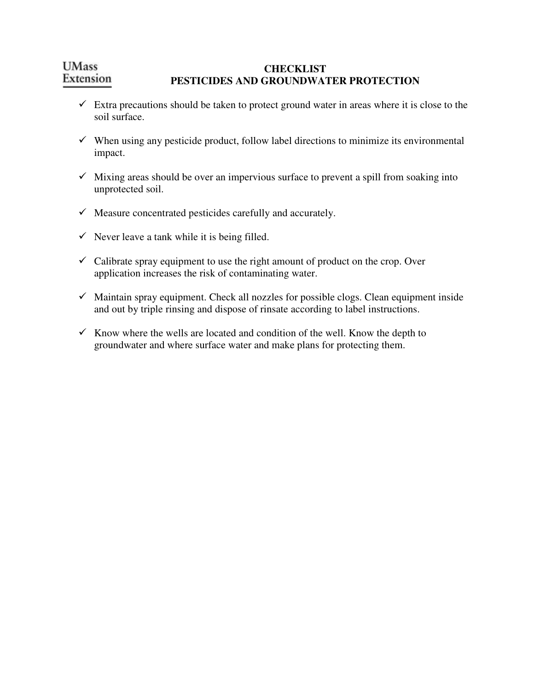#### **UMass CHECKLIST**  Extension **PESTICIDES AND GROUNDWATER PROTECTION**

- $\checkmark$  Extra precautions should be taken to protect ground water in areas where it is close to the soil surface.
- $\checkmark$  When using any pesticide product, follow label directions to minimize its environmental impact.
- $\checkmark$  Mixing areas should be over an impervious surface to prevent a spill from soaking into unprotected soil.
- $\checkmark$  Measure concentrated pesticides carefully and accurately.
- $\checkmark$  Never leave a tank while it is being filled.
- $\checkmark$  Calibrate spray equipment to use the right amount of product on the crop. Over application increases the risk of contaminating water.
- $\checkmark$  Maintain spray equipment. Check all nozzles for possible clogs. Clean equipment inside and out by triple rinsing and dispose of rinsate according to label instructions.
- $\checkmark$  Know where the wells are located and condition of the well. Know the depth to groundwater and where surface water and make plans for protecting them.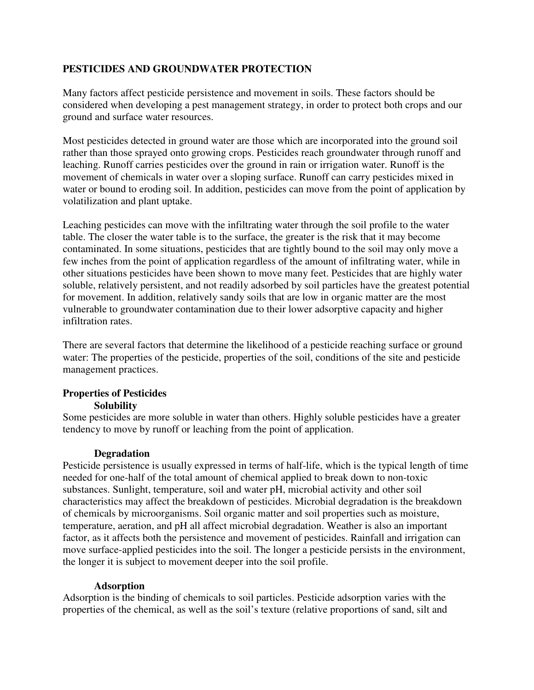# **PESTICIDES AND GROUNDWATER PROTECTION**

Many factors affect pesticide persistence and movement in soils. These factors should be considered when developing a pest management strategy, in order to protect both crops and our ground and surface water resources.

Most pesticides detected in ground water are those which are incorporated into the ground soil rather than those sprayed onto growing crops. Pesticides reach groundwater through runoff and leaching. Runoff carries pesticides over the ground in rain or irrigation water. Runoff is the movement of chemicals in water over a sloping surface. Runoff can carry pesticides mixed in water or bound to eroding soil. In addition, pesticides can move from the point of application by volatilization and plant uptake.

Leaching pesticides can move with the infiltrating water through the soil profile to the water table. The closer the water table is to the surface, the greater is the risk that it may become contaminated. In some situations, pesticides that are tightly bound to the soil may only move a few inches from the point of application regardless of the amount of infiltrating water, while in other situations pesticides have been shown to move many feet. Pesticides that are highly water soluble, relatively persistent, and not readily adsorbed by soil particles have the greatest potential for movement. In addition, relatively sandy soils that are low in organic matter are the most vulnerable to groundwater contamination due to their lower adsorptive capacity and higher infiltration rates.

There are several factors that determine the likelihood of a pesticide reaching surface or ground water: The properties of the pesticide, properties of the soil, conditions of the site and pesticide management practices.

### **Properties of Pesticides Solubility**

Some pesticides are more soluble in water than others. Highly soluble pesticides have a greater tendency to move by runoff or leaching from the point of application.

### **Degradation**

Pesticide persistence is usually expressed in terms of half-life, which is the typical length of time needed for one-half of the total amount of chemical applied to break down to non-toxic substances. Sunlight, temperature, soil and water pH, microbial activity and other soil characteristics may affect the breakdown of pesticides. Microbial degradation is the breakdown of chemicals by microorganisms. Soil organic matter and soil properties such as moisture, temperature, aeration, and pH all affect microbial degradation. Weather is also an important factor, as it affects both the persistence and movement of pesticides. Rainfall and irrigation can move surface-applied pesticides into the soil. The longer a pesticide persists in the environment, the longer it is subject to movement deeper into the soil profile.

### **Adsorption**

Adsorption is the binding of chemicals to soil particles. Pesticide adsorption varies with the properties of the chemical, as well as the soil's texture (relative proportions of sand, silt and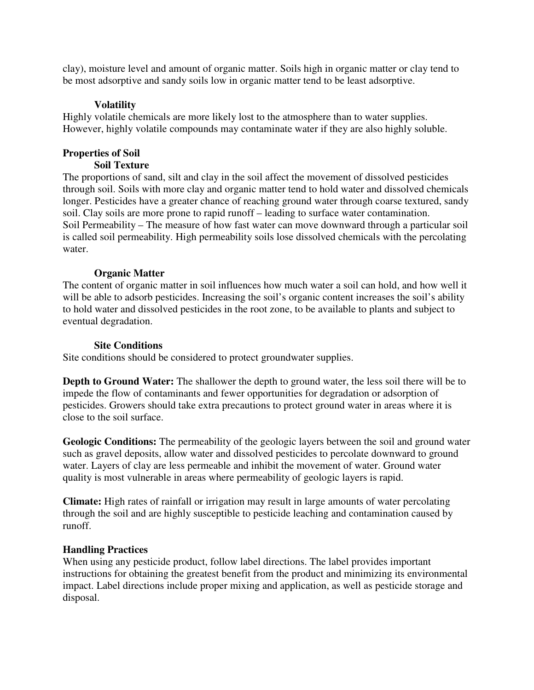clay), moisture level and amount of organic matter. Soils high in organic matter or clay tend to be most adsorptive and sandy soils low in organic matter tend to be least adsorptive.

# **Volatility**

Highly volatile chemicals are more likely lost to the atmosphere than to water supplies. However, highly volatile compounds may contaminate water if they are also highly soluble.

# **Properties of Soil**

# **Soil Texture**

The proportions of sand, silt and clay in the soil affect the movement of dissolved pesticides through soil. Soils with more clay and organic matter tend to hold water and dissolved chemicals longer. Pesticides have a greater chance of reaching ground water through coarse textured, sandy soil. Clay soils are more prone to rapid runoff – leading to surface water contamination. Soil Permeability – The measure of how fast water can move downward through a particular soil is called soil permeability. High permeability soils lose dissolved chemicals with the percolating water.

# **Organic Matter**

The content of organic matter in soil influences how much water a soil can hold, and how well it will be able to adsorb pesticides. Increasing the soil's organic content increases the soil's ability to hold water and dissolved pesticides in the root zone, to be available to plants and subject to eventual degradation.

# **Site Conditions**

Site conditions should be considered to protect groundwater supplies.

**Depth to Ground Water:** The shallower the depth to ground water, the less soil there will be to impede the flow of contaminants and fewer opportunities for degradation or adsorption of pesticides. Growers should take extra precautions to protect ground water in areas where it is close to the soil surface.

**Geologic Conditions:** The permeability of the geologic layers between the soil and ground water such as gravel deposits, allow water and dissolved pesticides to percolate downward to ground water. Layers of clay are less permeable and inhibit the movement of water. Ground water quality is most vulnerable in areas where permeability of geologic layers is rapid.

**Climate:** High rates of rainfall or irrigation may result in large amounts of water percolating through the soil and are highly susceptible to pesticide leaching and contamination caused by runoff.

### **Handling Practices**

When using any pesticide product, follow label directions. The label provides important instructions for obtaining the greatest benefit from the product and minimizing its environmental impact. Label directions include proper mixing and application, as well as pesticide storage and disposal.